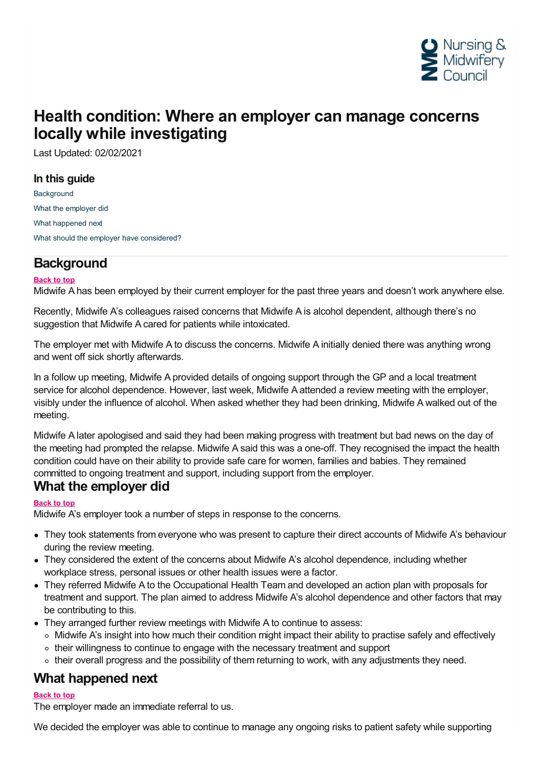

# **Health condition: Where an employer can manage concerns locally while investigating**

Last Updated: 02/02/2021

#### **In this guide**

**[Background](#page-0-0)** What the [employer](#page-0-1) did What [happened](#page-0-2) next What should the employer have [considered?](#page-1-0)

# <span id="page-0-0"></span>**Background**

#### **Back to top**

Midwife A has been employed by their current employer for the past three years and doesn't work anywhere else.

Recently, Midwife A's colleagues raised concerns that Midwife A is alcohol dependent, although there's no suggestion that Midwife A cared for patients while intoxicated.

The employer met with Midwife A to discuss the concerns. Midwife A initially denied there was anything wrong and went off sick shortly afterwards.

In a follow up meeting, Midwife A provided details of ongoing support through the GP and a local treatment service for alcohol dependence. However, last week, Midwife A attended a review meeting with the employer, visibly under the influence of alcohol. When asked whether they had been drinking, Midwife A walked out of the meeting.

Midwife A later apologised and said they had been making progress with treatment but bad news on the day of the meeting had prompted the relapse. Midwife A said this was a one-off. They recognised the impact the health condition could have on their ability to provide safe care for women, families and babies. They remained committed to ongoing treatment and support, including support from the employer. **What the employer did**

#### <span id="page-0-1"></span>**Back to top**

Midwife A's employer took a number of steps in response to the concerns.

- They took statements from everyone who was present to capture their direct accounts of Midwife A's behaviour during the review meeting.
- They considered the extent of the concerns about Midwife A's alcohol dependence, including whether workplace stress, personal issues or other health issues were a factor.
- They referred Midwife A to the Occupational Health Team and developed an action plan with proposals for treatment and support. The plan aimed to address Midwife A's alcohol dependence and other factors that may be contributing to this.
- They arranged further review meetings with Midwife A to continue to assess:
	- $\circ$  Midwife A's insight into how much their condition might impact their ability to practise safely and effectively
	- their willingness to continue to engage with the necessary treatment and support
	- their overall progress and the possibility of them returning to work, with any adjustments they need.

## <span id="page-0-2"></span>**What happened next**

#### **Back to top**

The employer made an immediate referral to us.

We decided the employer was able to continue to manage any ongoing risks to patient safety while supporting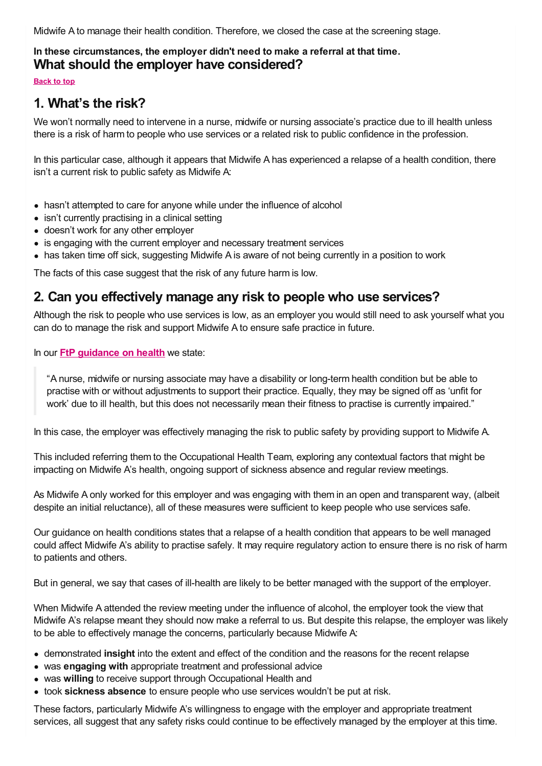Midwife A to manage their health condition. Therefore, we closed the case at the screening stage.

# <span id="page-1-0"></span>In these circumstances, the employer didn't need to make a referral at that time.<br>What should the employer have considered?

**Back to top**

# **1. What's the risk?**

We won't normally need to intervene in a nurse, midwife or nursing associate's practice due to ill health unless there is a risk of harm to people who use services or a related risk to public confidence in the profession.

In this particular case, although it appears that Midwife A has experienced a relapse of a health condition, there isn't a current risk to public safety as Midwife A:

- hasn't attempted to care for anyone while under the influence of alcohol
- isn't currently practising in a clinical setting
- doesn't work for any other employer
- is engaging with the current employer and necessary treatment services
- has taken time off sick, suggesting Midwife A is aware of not being currently in a position to work

The facts of this case suggest that the risk of any future harm is low.

## **2. Can you effectively manage any risk to people who use services?**

Although the risk to people who use services is low, as an employer you would still need to ask yourself what you can do to manage the risk and support Midwife A to ensure safe practice in future.

In our **FtP [guidance](https://www.nmc.org.uk/ftp-library/understanding-fitness-to-practise/fitness-to-practise-allegations/health/) on health** we state:

"A nurse, midwife or nursing associate may have a disability or long-term health condition but be able to practise with or without adjustments to support their practice. Equally, they may be signed off as 'unfit for work' due to ill health, but this does not necessarily mean their fitness to practise is currently impaired."

In this case, the employer was effectively managing the risk to public safety by providing support to Midwife A.

This included referring them to the Occupational Health Team, exploring any contextual factors that might be impacting on Midwife A's health, ongoing support of sickness absence and regular review meetings.

As Midwife A only worked for this employer and was engaging with them in an open and transparent way, (albeit despite an initial reluctance), all of these measures were sufficient to keep people who use services safe.

Our guidance on health conditions states that a relapse of a health condition that appears to be well managed could affect Midwife A's ability to practise safely. It may require regulatory action to ensure there is no risk of harm to patients and others.

But in general, we say that cases of ill-health are likely to be better managed with the support of the employer.

When Midwife A attended the review meeting under the influence of alcohol, the employer took the view that Midwife A's relapse meant they should now make a referral to us. But despite this relapse, the employer was likely to be able to effectively manage the concerns, particularly because Midwife A:

- demonstrated **insight** into the extent and effect of the condition and the reasons for the recent relapse
- was **engaging with** appropriate treatment and professional advice
- was **willing** to receive support through Occupational Health and
- took **sickness absence** to ensure people who use services wouldn't be put at risk.

These factors, particularly Midwife A's willingness to engage with the employer and appropriate treatment services, all suggest that any safety risks could continue to be effectively managed by the employer at this time.